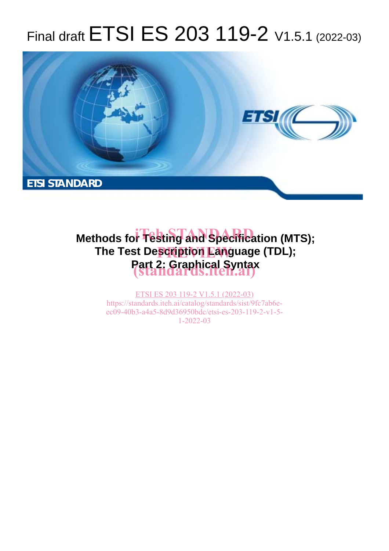# Final draft ETSI ES 203 119-2 V1.5.1 (2022-03)



# **Methods for Testing and Specification (MTS); The Test Description Language (TDL); Part 2: Graphical Syntax (standards.iteh.ai)**

ETSI ES 203 119-2 V1.5.1 (2022-03) https://standards.iteh.ai/catalog/standards/sist/9fc7ab6eec09-40b3-a4a5-8d9d36950bdc/etsi-es-203-119-2-v1-5- 1-2022-03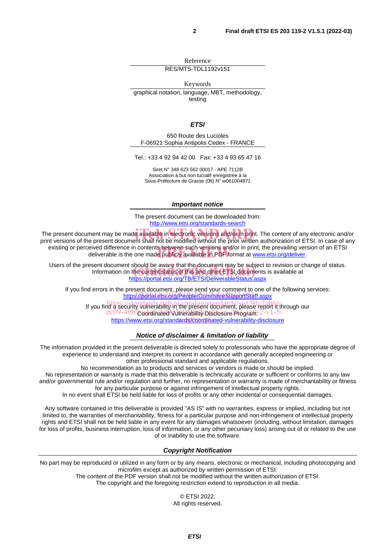Reference RES/MTS-TDL1192v151

Keywords

graphical notation, language, MBT, methodology, testing

*ETSI* 

650 Route des Lucioles F-06921 Sophia Antipolis Cedex - FRANCE

Tel.: +33 4 92 94 42 00 Fax: +33 4 93 65 47 16

Siret N° 348 623 562 00017 - APE 7112B Association à but non lucratif enregistrée à la Sous-Préfecture de Grasse (06) N° w061004871

*Important notice* 

The present document can be downloaded from: http://www.etsi.org/standards-search

The present document may be made available in electronic versions and/or in print. The content of any electronic and/or<br>Drint versions of the present document shall not be modified without the prior written authorization o print versions of the present document shall not be modified without the prior written authorization of ETSI. In case of any existing or perceived difference in contents between such versions and/or in print, the prevailing version of an ETSI eived difference in contents between such versions and/or in print, the prevailing vers<br>deliverable is the one made publicly available in PDF format at <u>www.etsi.org/deliver</u>.

Users of the present document should be aware that the document may be subject to revision or change of status. Information on the current status of this and other ETSI documents is available at : should be aware that the document may be subject<br>ι the current status of this and other ETSI documents<br><u>https://portal.etsi.org/TB/ETSIDeliverableStatus.aspx</u>

If you find errors in the present document, please send your comment to one of the following services: https://portal.etsi.org/People/CommiteeSupportStaff.aspx

If you find a security vulnerability in the present document, please report it through our https://standards.iteh.ai/catalog/standards/sist/9fc7ab6eec09-40b3-cadramated Vulnerability Disclosure Program: 2-v1-5https://www.etsi.org/standards/coordinated-vulnerability-disclosure

#### *Notice of disclaimer & limitation of liability*

The information provided in the present deliverable is directed solely to professionals who have the appropriate degree of experience to understand and interpret its content in accordance with generally accepted engineering or other professional standard and applicable regulations.

No recommendation as to products and services or vendors is made or should be implied.

No representation or warranty is made that this deliverable is technically accurate or sufficient or conforms to any law and/or governmental rule and/or regulation and further, no representation or warranty is made of merchantability or fitness for any particular purpose or against infringement of intellectual property rights.

In no event shall ETSI be held liable for loss of profits or any other incidental or consequential damages.

Any software contained in this deliverable is provided "AS IS" with no warranties, express or implied, including but not limited to, the warranties of merchantability, fitness for a particular purpose and non-infringement of intellectual property rights and ETSI shall not be held liable in any event for any damages whatsoever (including, without limitation, damages for loss of profits, business interruption, loss of information, or any other pecuniary loss) arising out of or related to the use of or inability to use the software.

#### *Copyright Notification*

No part may be reproduced or utilized in any form or by any means, electronic or mechanical, including photocopying and microfilm except as authorized by written permission of ETSI.

The content of the PDF version shall not be modified without the written authorization of ETSI.

The copyright and the foregoing restriction extend to reproduction in all media.

© ETSI 2022. All rights reserved.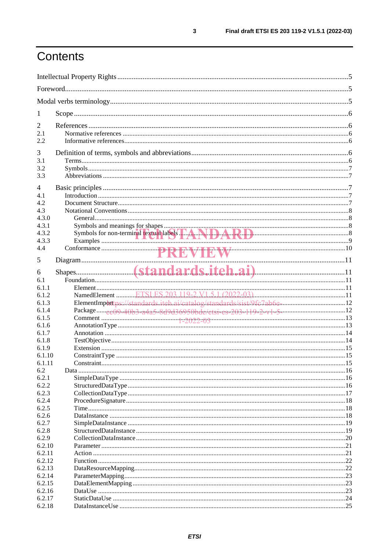# Contents

| 1                |                                                                         |  |  |
|------------------|-------------------------------------------------------------------------|--|--|
| $\overline{2}$   |                                                                         |  |  |
| 2.1              |                                                                         |  |  |
| 2.2              |                                                                         |  |  |
| 3                |                                                                         |  |  |
| 3.1              |                                                                         |  |  |
| 3.2              |                                                                         |  |  |
| 3.3              |                                                                         |  |  |
|                  |                                                                         |  |  |
| $\overline{4}$   |                                                                         |  |  |
| 4.1<br>4.2       |                                                                         |  |  |
| 4.3              |                                                                         |  |  |
| 4.3.0            |                                                                         |  |  |
| 4.3.1            |                                                                         |  |  |
| 4.3.2            |                                                                         |  |  |
| 4.3.3            |                                                                         |  |  |
| 4.4              |                                                                         |  |  |
|                  |                                                                         |  |  |
| 5                |                                                                         |  |  |
| 6                |                                                                         |  |  |
| 6.1              |                                                                         |  |  |
| 6.1.1            |                                                                         |  |  |
| 6.1.2            |                                                                         |  |  |
| 6.1.3            | ElementImporttps://standards.itch.ai/catalog/standards/sist/9fc7ab6en12 |  |  |
| 6.1.4            |                                                                         |  |  |
| 6.1.5            |                                                                         |  |  |
| 6.1.6            |                                                                         |  |  |
| 6.1.7            |                                                                         |  |  |
| 6.1.8            |                                                                         |  |  |
| 6.1.9<br>6.1.10  |                                                                         |  |  |
| 6.1.11           |                                                                         |  |  |
| 6.2              |                                                                         |  |  |
| 6.2.1            |                                                                         |  |  |
| 6.2.2            |                                                                         |  |  |
| 6.2.3            |                                                                         |  |  |
| 6.2.4            |                                                                         |  |  |
| 6.2.5            |                                                                         |  |  |
| 6.2.6            |                                                                         |  |  |
| 6.2.7            |                                                                         |  |  |
| 6.2.8            |                                                                         |  |  |
| 6.2.9            |                                                                         |  |  |
| 6.2.10           |                                                                         |  |  |
| 6.2.11           |                                                                         |  |  |
| 6.2.12           |                                                                         |  |  |
| 6.2.13           |                                                                         |  |  |
| 6.2.14<br>6.2.15 |                                                                         |  |  |
| 6.2.16           |                                                                         |  |  |
| 6.2.17           |                                                                         |  |  |
| 6.2.18           |                                                                         |  |  |
|                  |                                                                         |  |  |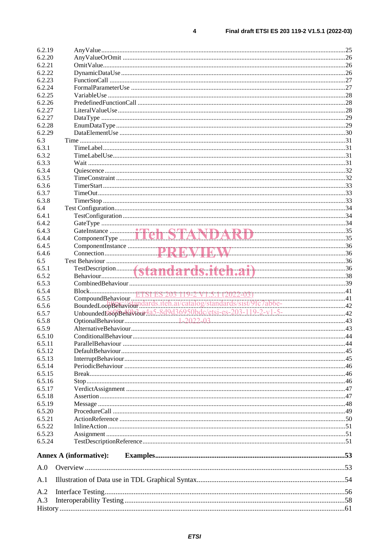| 6.2.19 |                               |  |
|--------|-------------------------------|--|
| 6.2.20 |                               |  |
| 6.2.21 |                               |  |
| 6.2.22 |                               |  |
| 6.2.23 |                               |  |
| 6.2.24 |                               |  |
| 6.2.25 |                               |  |
| 6.2.26 |                               |  |
| 6.2.27 |                               |  |
| 6.2.27 |                               |  |
| 6.2.28 |                               |  |
| 6.2.29 |                               |  |
| 6.3    |                               |  |
| 6.3.1  |                               |  |
| 6.3.2  |                               |  |
| 6.3.3  |                               |  |
| 6.3.4  |                               |  |
| 6.3.5  |                               |  |
| 6.3.6  |                               |  |
| 6.3.7  |                               |  |
| 6.3.8  |                               |  |
|        |                               |  |
| 6.4    |                               |  |
| 6.4.1  |                               |  |
| 6.4.2  |                               |  |
| 6.4.3  |                               |  |
| 6.4.4  |                               |  |
| 6.4.5  |                               |  |
| 6.4.6  |                               |  |
| 6.5    |                               |  |
| 6.5.1  |                               |  |
| 6.5.2  |                               |  |
| 6.5.3  |                               |  |
|        |                               |  |
| 6.5.4  |                               |  |
| 6.5.5  |                               |  |
| 6.5.6  |                               |  |
| 6.5.7  |                               |  |
| 6.5.8  |                               |  |
| 6.5.9  |                               |  |
| 6.5.10 |                               |  |
| 6.5.11 |                               |  |
| 6.5.12 |                               |  |
| 6.5.13 |                               |  |
| 6.5.14 |                               |  |
| 6.5.15 |                               |  |
| 6.5.16 |                               |  |
| 6.5.17 |                               |  |
|        |                               |  |
| 6.5.18 |                               |  |
| 6.5.19 |                               |  |
| 6.5.20 |                               |  |
| 6.5.21 |                               |  |
| 6.5.22 |                               |  |
| 6.5.23 |                               |  |
| 6.5.24 |                               |  |
|        | <b>Annex A (informative):</b> |  |
| A.0    |                               |  |
| A.1    |                               |  |
| A.2    |                               |  |
| A.3    |                               |  |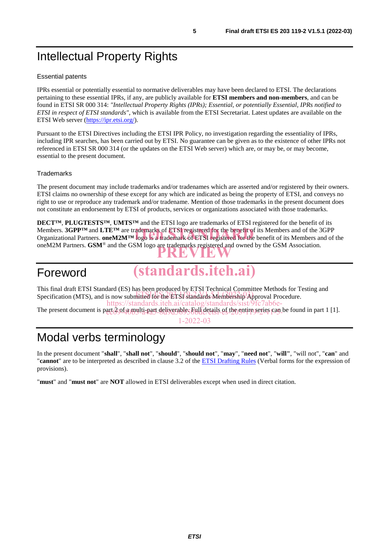# Intellectual Property Rights

#### Essential patents

IPRs essential or potentially essential to normative deliverables may have been declared to ETSI. The declarations pertaining to these essential IPRs, if any, are publicly available for **ETSI members and non-members**, and can be found in ETSI SR 000 314: *"Intellectual Property Rights (IPRs); Essential, or potentially Essential, IPRs notified to ETSI in respect of ETSI standards"*, which is available from the ETSI Secretariat. Latest updates are available on the ETSI Web server (https://ipr.etsi.org/).

Pursuant to the ETSI Directives including the ETSI IPR Policy, no investigation regarding the essentiality of IPRs, including IPR searches, has been carried out by ETSI. No guarantee can be given as to the existence of other IPRs not referenced in ETSI SR 000 314 (or the updates on the ETSI Web server) which are, or may be, or may become, essential to the present document.

#### **Trademarks**

The present document may include trademarks and/or tradenames which are asserted and/or registered by their owners. ETSI claims no ownership of these except for any which are indicated as being the property of ETSI, and conveys no right to use or reproduce any trademark and/or tradename. Mention of those trademarks in the present document does not constitute an endorsement by ETSI of products, services or organizations associated with those trademarks.

**DECT™**, **PLUGTESTS™**, **UMTS™** and the ETSI logo are trademarks of ETSI registered for the benefit of its Members. **3GPP™** and **LTE™** are trademarks of ETSI registered for the benefit of its Members and of the 3GPP Members. **3GPP<sup>TM</sup>** and LTE<sup>TM</sup> are trademarks of ETSI registered for the benefit of its Members and of the 3GPP<br>Organizational Partners. oneM2M<sup>TM</sup> logo is a trademark of ETSI registered for the benefit of its Members and oneM2M Partners. **GSM**<sup>®</sup> and the GSM logo are trademarks registered and owned by the GSM Association.

## Foreword

**(standards.iteh.ai)**

This final draft ETSI Standard (ES) has been produced by ETSI Technical Committee Methods for Testing and This final dial 2151 Standard (25) has except proceed by 22.01 for the mbership Approval Procedure. https://standards.iteh.ai/catalog/standards/sist/9fc7ab6e-

The present document is part *Q*of a multi-part deliverable, Full details of the entire series can be found in part 1 [1].

1-2022-03

## Modal verbs terminology

In the present document "**shall**", "**shall not**", "**should**", "**should not**", "**may**", "**need not**", "**will"**, "will not", "**can**" and "**cannot**" are to be interpreted as described in clause 3.2 of the ETSI Drafting Rules (Verbal forms for the expression of provisions).

"**must**" and "**must not**" are **NOT** allowed in ETSI deliverables except when used in direct citation.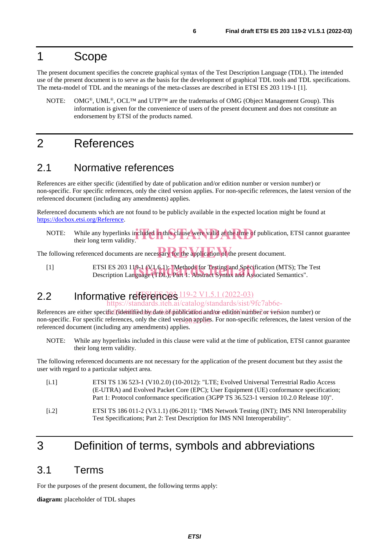## 1 Scope

The present document specifies the concrete graphical syntax of the Test Description Language (TDL). The intended use of the present document is to serve as the basis for the development of graphical TDL tools and TDL specifications. The meta-model of TDL and the meanings of the meta-classes are described in ETSI ES 203 119-1 [1].

NOTE: OMG<sup>®</sup>, UML<sup>®</sup>, OCL<sup>™</sup> and UTP<sup>™</sup> are the trademarks of OMG (Object Management Group). This information is given for the convenience of users of the present document and does not constitute an endorsement by ETSI of the products named.

## 2 References

## 2.1 Normative references

References are either specific (identified by date of publication and/or edition number or version number) or non-specific. For specific references, only the cited version applies. For non-specific references, the latest version of the referenced document (including any amendments) applies.

Referenced documents which are not found to be publicly available in the expected location might be found at https://docbox.etsi.org/Reference.

NOTE: While any hyperlinks included in this clause were valid at the time of publication, ETSI cannot guarantee their long term validity. their long term validity.

The following referenced documents are necessary for the application of the present document.

[1] ETSI ES 203 119-1 (V1.6.1): "Methods for Testing and Specification (MTS); The Test Description Language (TDL); Part 1: Abstract Syntax and Associated Semantics". Description Language (TDL); Part 1: Abstract Syntax and Associated Semantics".

#### 2.2 Informative references  $\frac{119-2 \text{ V}1.5.1 (2022-03)}{2 \cdot 2 \cdot 1}$ tandards.iteh.ai/catalog/standards/sist/9fc7ab6e-

References are either specific (fidentified by date of publication and/or edition number or version number) or non-specific. For specific references, only the cited version applies. For non-specific references, the latest version of the referenced document (including any amendments) applies.

NOTE: While any hyperlinks included in this clause were valid at the time of publication, ETSI cannot guarantee their long term validity.

The following referenced documents are not necessary for the application of the present document but they assist the user with regard to a particular subject area.

| [i.1] | ETSI TS 136 523-1 (V10.2.0) (10-2012): "LTE; Evolved Universal Terrestrial Radio Access<br>(E-UTRA) and Evolved Packet Core (EPC); User Equipment (UE) conformance specification;<br>Part 1: Protocol conformance specification (3GPP TS 36.523-1 version 10.2.0 Release 10)". |
|-------|--------------------------------------------------------------------------------------------------------------------------------------------------------------------------------------------------------------------------------------------------------------------------------|
| [i.2] | ETSI TS 186 011-2 (V3.1.1) (06-2011): "IMS Network Testing (INT); IMS NNI Interoperability<br>Test Specifications; Part 2: Test Description for IMS NNI Interoperability".                                                                                                     |

## 3 Definition of terms, symbols and abbreviations

## 3.1 Terms

For the purposes of the present document, the following terms apply:

**diagram:** placeholder of TDL shapes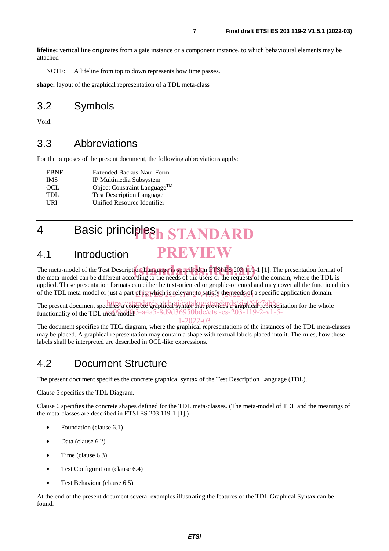**lifeline:** vertical line originates from a gate instance or a component instance, to which behavioural elements may be attached

NOTE: A lifeline from top to down represents how time passes.

**shape:** layout of the graphical representation of a TDL meta-class

## 3.2 Symbols

Void.

## 3.3 Abbreviations

For the purposes of the present document, the following abbreviations apply:

| <b>EBNF</b> | <b>Extended Backus-Naur Form</b>         |
|-------------|------------------------------------------|
| <b>IMS</b>  | IP Multimedia Subsystem                  |
| OCL.        | Object Constraint Language <sup>TM</sup> |
| TDL.        | <b>Test Description Language</b>         |
| <b>TRI</b>  | Unified Resource Identifier              |

# 4 Basic principles<sub>h</sub> STANDARD

#### 4.1 Introduction **PREVIEW**

The meta-model of the Test Description Language is specified in **ETSLES** 203 119-1 [1]. The presentation format of the meta-model can be different according to the needs of the users or the requests of the domain, where th the meta-model can be different according to the needs of the users or the requests of the domain, where the TDL is applied. These presentation formats can either be text-oriented or graphic-oriented and may cover all the functionalities of the TDL meta-model or just a part of its which is relevant to satisfy the needs of a specific application domain.

The present document specifies a concrete graphical syntax that provides a graphical representation for the whole functionality of the TDL meta-model  $3$ -a4a5-8d9d36950bdc/etsi-es-203-119-2-v1-5-

#### 1-2022-03

The document specifies the TDL diagram, where the graphical representations of the instances of the TDL meta-classes may be placed. A graphical representation may contain a shape with textual labels placed into it. The rules, how these labels shall be interpreted are described in OCL-like expressions.

## 4.2 Document Structure

The present document specifies the concrete graphical syntax of the Test Description Language (TDL).

Clause 5 specifies the TDL Diagram.

Clause 6 specifies the concrete shapes defined for the TDL meta-classes. (The meta-model of TDL and the meanings of the meta-classes are described in ETSI ES 203 119-1 [1].)

- Foundation (clause 6.1)
- Data (clause 6.2)
- Time (clause 6.3)
- Test Configuration (clause 6.4)
- Test Behaviour (clause 6.5)

At the end of the present document several examples illustrating the features of the TDL Graphical Syntax can be found.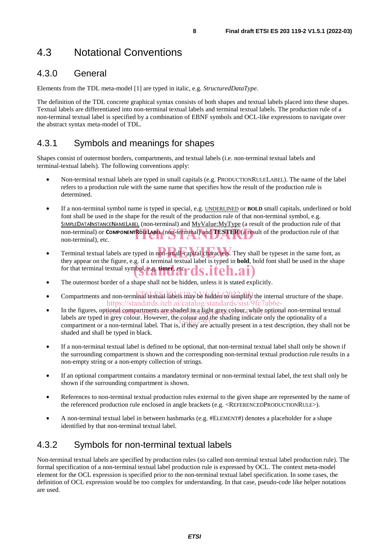## 4.3 Notational Conventions

## 4.3.0 General

Elements from the TDL meta-model [1] are typed in italic, e.g. *StructuredDataType.*

The definition of the TDL concrete graphical syntax consists of both shapes and textual labels placed into these shapes. Textual labels are differentiated into non-terminal textual labels and terminal textual labels. The production rule of a non-terminal textual label is specified by a combination of EBNF symbols and OCL-like expressions to navigate over the abstract syntax meta-model of TDL.

## 4.3.1 Symbols and meanings for shapes

Shapes consist of outermost borders, compartments, and textual labels (i.e. non-terminal textual labels and terminal-textual labels). The following conventions apply:

- Non-terminal textual labels are typed in small capitals (e.g. PRODUCTIONRULELABEL). The name of the label refers to a production rule with the same name that specifies how the result of the production rule is determined.
- If a non-terminal symbol name is typed in special, e.g. UNDERLINED or **BOLD** small capitals, underlined or bold font shall be used in the shape for the result of the production rule of that non-terminal symbol, e.g. SIMPLEDATAINSTANCENAMELABEL (non-terminal) and MyValue:MyType (a result of the production rule of that non-terminal) or **COMPONENTROLELABEL** (non-terminal) and **TESTER** (a result of the production rule of that non-terminal), etc. non-terminal), etc.
- Terminal textual labels are typed in non-small-capital characters. They shall be typeset in the same font, as they are again the figure 2 is if a terminal textual label is two displaced in the same font, as they appear on the figure, e.g. if a terminal textual label is typed in **bold**, bold font shall be used in the shape for that terminal textual symbol, ta timer, etc. **itch.ai**)
- The outermost border of a shape shall not be hidden, unless it is stated explicitly.
- Compartments and non-terminal textual labels may be hidden to simplify the internal structure of the shape. https://standards.iteh.ai/catalog/standards/sist/9fc7ab6e-
- In the figures, optional compartments are shaded in a light grey colour, while optional non-terminal textual labels are typed in grey colour. However, the colour and the shading indicate only the optionality of a commention there is a contract of a contract of a contract of a contract of the shading indicate only the shadow of a compartment or a non-terminal label. That is, if they are actually present in a test description, they shall not be shaded and shall be typed in black.
- If a non-terminal textual label is defined to be optional, that non-terminal textual label shall only be shown if the surrounding compartment is shown and the corresponding non-terminal textual production rule results in a non-empty string or a non-empty collection of strings.
- If an optional compartment contains a mandatory terminal or non-terminal textual label, the text shall only be shown if the surrounding compartment is shown.
- References to non-terminal textual production rules external to the given shape are represented by the name of the referenced production rule enclosed in angle brackets (e.g. <REFERENCEDPRODUCTIONRULE>).
- A non-terminal textual label in between hashmarks (e.g. #ELEMENT#) denotes a placeholder for a shape identified by that non-terminal textual label.

## 4.3.2 Symbols for non-terminal textual labels

Non-terminal textual labels are specified by production rules (so called non-terminal textual label production rule). The formal specification of a non-terminal textual label production rule is expressed by OCL. The context meta-model element for the OCL expression is specified prior to the non-terminal textual label specification. In some cases, the definition of OCL expression would be too complex for understanding. In that case, pseudo-code like helper notations are used.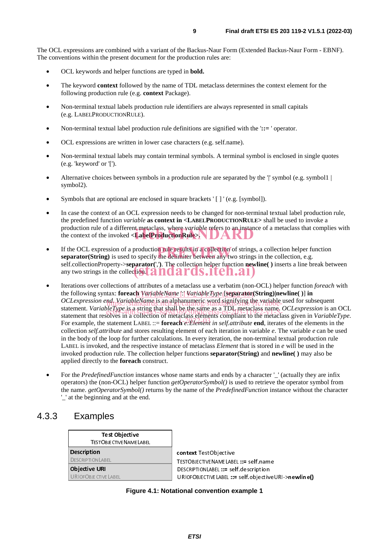The OCL expressions are combined with a variant of the Backus-Naur Form (Extended Backus-Naur Form - EBNF). The conventions within the present document for the production rules are:

- OCL keywords and helper functions are typed in **bold.**
- The keyword **context** followed by the name of TDL metaclass determines the context element for the following production rule (e.g. **context** Package).
- Non-terminal textual labels production rule identifiers are always represented in small capitals (e.g. LABELPRODUCTIONRULE).
- Non-terminal textual label production rule definitions are signified with the ':= ' operator.
- OCL expressions are written in lower case characters (e.g. self.name).
- Non-terminal textual labels may contain terminal symbols. A terminal symbol is enclosed in single quotes (e.g. 'keyword' or '[').
- Alternative choices between symbols in a production rule are separated by the '|' symbol (e.g. symbol 1) symbol2).
- Symbols that are optional are enclosed in square brackets ' [ ] ' (e.g. [symbol]).
- In case the context of an OCL expression needs to be changed for non-terminal textual label production rule, the predefined function *variable* **as context in <LABELPRODUCTIONRULE>** shall be used to invoke a production rule of a different metaclass, where *variable* refers to an instance of a metaclass that complies with the context of the invoked <**LabelProduction Rule**> the context of the invoked **<LabelProductionRule>.**
- If the OCL expression of a production rule results in a collection of strings, a collection helper function **separator**(**String**) is used to specify the delimiter between any two strings in the collection, e.g. **separator(String)** is used to specify the delimiter between any two strings in the collection, e.g. self.collectionProperty->**separator(**','**)**. The collection helper function **newline( )** inserts a line break between self.collectionProperty->separator(','). The collection helper function news<br>any two strings in the collection **tandards.iteh.ai**
- Iterations over collections of attributes of a metaclass use a verbatim (non-OCL) helper function *foreach* with the following syntax: **foreach** *VariableName* ':' *VariableType* [**separator(String)|newline( )**] **in** ETSI ES 203 119-2 V1.5.1 (2022-03) *OCLexpression end. VariableName* is an alphanumeric/word signifying the variable used for subsequent statement. *VariableType* is a string that shall be the same as a TDL metaclass name. *OCLexpression* is an OCL statement. *VariableType* to a string that span be metaclass as a TDT declarate of the metaclass implement is an OCL<br>statement that resolves in a collection of metaclass elements compliant to the metaclass given in *Variab* For example, the statement LABEL ::= **foreach** *e: Element in self.attribute* **end**, iterates of the elements in the collection *self.attribute* and stores resulting element of each iteration in variable *e*. The variable *e* can be used in the body of the loop for further calculations. In every iteration, the non-terminal textual production rule LABEL is invoked, and the respective instance of metaclass *Element* that is stored in *e* will be used in the invoked production rule. The collection helper functions **separator(String)** and **newline( )** may also be applied directly to the **foreach** construct.
- For the *PredefinedFunction* instances whose name starts and ends by a character '\_' (actually they are infix operators) the (non-OCL) helper function *getOperatorSymbol()* is used to retrieve the operator symbol from the name. *getOperatorSymbol()* returns by the name of the *PredefinedFunction* instance without the character '\_' at the beginning and at the end.

### 4.3.3 Examples

| <b>Test Objective</b>         |  |
|-------------------------------|--|
| <b>TESTOBJECTIVENAMELABEL</b> |  |
| <b>Description</b>            |  |
| <b>DESCRIPTIONLABEL</b>       |  |
| <b>Objective URI</b>          |  |
| <b>URIOFOBJECTIVELABEL</b>    |  |

**ontext** TestObjective<br>ESTOBJECTIVENAMELABEL ::= self.name ESCRIPTIONLABEL ::= self.description DESCRIPTIONLABEL ::= self.description URIOFOBJECTIVELABEL ::= self.objectiveURI->newline()

**Figure 4.1: Notational convention example 1**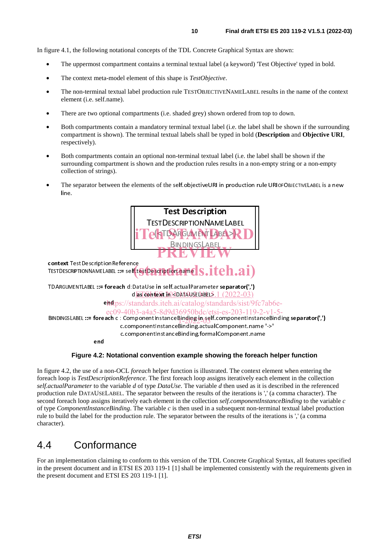In figure 4.1, the following notational concepts of the TDL Concrete Graphical Syntax are shown:

- The uppermost compartment contains a terminal textual label (a keyword) 'Test Objective' typed in bold.
- The context meta-model element of this shape is *TestObjective*.
- The non-terminal textual label production rule TESTOBJECTIVENAMELABEL results in the name of the context element (i.e. self.name).
- There are two optional compartments (i.e. shaded grey) shown ordered from top to down.
- Both compartments contain a mandatory terminal textual label (i.e. the label shall be shown if the surrounding compartment is shown). The terminal textual labels shall be typed in bold (**Description** and **Objective URI**, respectively).
- Both compartments contain an optional non-terminal textual label (i.e. the label shall be shown if the surrounding compartment is shown and the production rules results in a non-empty string or a non-empty collection of strings).
- The separator between the elements of the self.objectiveURI in production rule URIOFOBJECTIVELABEL is a new line.



#### **Figure 4.2: Notational convention example showing the foreach helper function**

In figure 4.2, the use of a non-OCL *foreach* helper function is illustrated. The context element when entering the foreach loop is *TestDescriptionReference*. The first foreach loop assigns iteratively each element in the collection *self.actualParameter* to the variable *d* of type *DataUse*. The variable *d* then used as it is described in the referenced production rule DATAUSELABEL. The separator between the results of the iterations is ',' (a comma character). The second foreach loop assigns iteratively each element in the collection *self.componentInstanceBinding* to the variable *c* of type *ComponentInstanceBinding*. The variable *c* is then used in a subsequent non-terminal textual label production rule to build the label for the production rule. The separator between the results of the iterations is ',' (a comma character).

## 4.4 Conformance

For an implementation claiming to conform to this version of the TDL Concrete Graphical Syntax, all features specified in the present document and in ETSI ES 203 119-1 [1] shall be implemented consistently with the requirements given in the present document and ETSI ES 203 119-1 [1].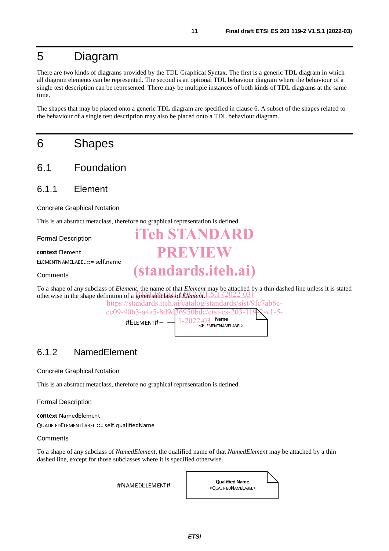## 5 Diagram

There are two kinds of diagrams provided by the TDL Graphical Syntax. The first is a generic TDL diagram in which all diagram elements can be represented. The second is an optional TDL behaviour diagram where the behaviour of a single test description can be represented. There may be multiple instances of both kinds of TDL diagrams at the same time.

The shapes that may be placed onto a generic TDL diagram are specified in clause 6. A subset of the shapes related to the behaviour of a single test description may also be placed onto a TDL behaviour diagram.

## 6 Shapes

- 6.1 Foundation
- 6.1.1 Element

Concrete Graphical Notation

This is an abstract metaclass, therefore no graphical representation is defined.

Formal Description

context Element ELEMENTNAMELABEL ::= self.name

**Comments** 

To a shape of any subclass of *Element*, the name of that *Element* may be attached by a thin dashed line unless it is stated otherwise in the shape definition of a given subclass of *Element*. 1.5.1 (2022-03)

**iTeh STANDARD**

**PREVIEW**

**(standards.iteh.ai)**

https://standards.iteh.ai/catalog/standards/sist/9fc7ab6eec09-40b3-a4a5-8d9d36950bdc/etsi-es-203-119-2-v1-5-

#ELEMENT# $\left| \frac{1\text{-}2022\text{-}03}{\text{6}}\right|$  Name

## 6.1.2 NamedElement

Concrete Graphical Notation

This is an abstract metaclass, therefore no graphical representation is defined.

Formal Description

context NamedElement

QUALIFIEDELEMENTLABEL ::= self.qualifiedName

**Comments** 

To a shape of any subclass of *NamedElement*, the qualified name of that *NamedElement* may be attached by a thin dashed line, except for those subclasses where it is specified otherwise.

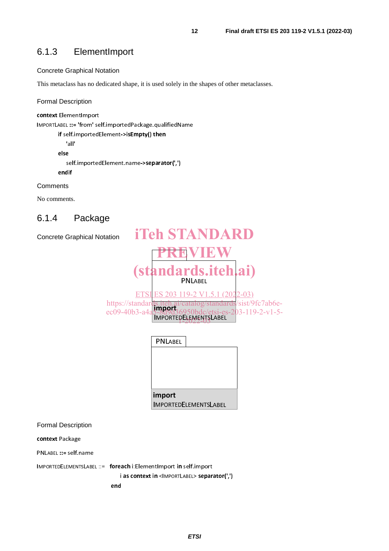## 6.1.3 ElementImport

#### Concrete Graphical Notation

This metaclass has no dedicated shape, it is used solely in the shapes of other metaclasses.

#### Formal Description

context ElementImport IMPORTLABEL ::= 'from' self.importedPackage.qualifiedName if self.importedElement->isEmpty() then 'all' else

 self.importedElement.name->separator(',') endif

#### **Comments**

No comments.

## 6.1.4 Package

| <b>Concrete Graphical Notation</b>            | <b>iTeh STANDARD</b>                                                                                                                                                           |
|-----------------------------------------------|--------------------------------------------------------------------------------------------------------------------------------------------------------------------------------|
|                                               |                                                                                                                                                                                |
|                                               | (standards.iteh.ai)                                                                                                                                                            |
|                                               | ETSIES 203 119-2 V1.5.1 (2022-03)<br>https://standards.iteh.ai/catalog/standards/sist/9fc7ab6e-<br>ec09-40b3-a4a5-8d9d36950bdc/etsi-es-203-119-2-v1-5-<br>MPORTEDELEMENTSLABEL |
|                                               | PNLABEL                                                                                                                                                                        |
|                                               |                                                                                                                                                                                |
|                                               | import<br><b>IMPORTEDELEMENTSLABEL</b>                                                                                                                                         |
| <b>Formal Description</b>                     |                                                                                                                                                                                |
| the common contract of the common contract of |                                                                                                                                                                                |

#### Formal Description

context Package

PNLABEL ::= self.name

IMPORTEDELEMENTSLABEL ::= foreach i:ElementImport in self.import

i as context in <IMPORTLABEL> separator(',')

end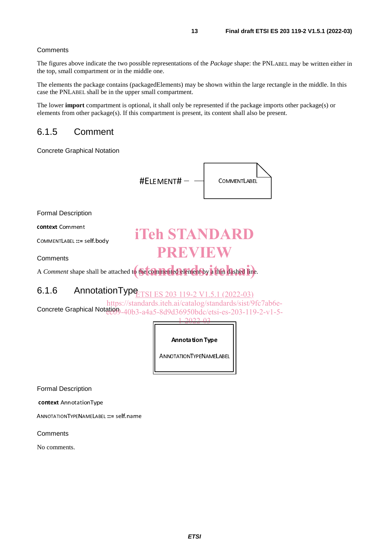#### **Comments**

The figures above indicate the two possible representations of the *Package* shape: the PNLABEL may be written either in the top, small compartment or in the middle one.

The elements the package contains (packagedElements) may be shown within the large rectangle in the middle. In this case the PNLABEL shall be in the upper small compartment.

The lower **import** compartment is optional, it shall only be represented if the package imports other package(s) or elements from other package(s). If this compartment is present, its content shall also be present.

### 6.1.5 Comment

Concrete Graphical Notation



Formal Description

context Comment

COMMENTLABEL ::= self.body

**Comments** 

# **iTeh STANDARD PREVIEW**

A *Comment* shape shall be attached to the commented element by a thin dashed line.

#### 6.1.6 AnnotationType  $(2022 - 03)$

Concrete Graphical Notation - 40b3-a4a5-8d9d36950bdc/etsi-es-203-119-2-v1-5https://standards.iteh.ai/catalog/standards/sist/9fc7ab6e-

#### 1-2022-03

Annotation Type

Formal Description

context AnnotationType

ANNOTATIONTYPENAMELABEL ::= self.name

**Comments** 

No comments.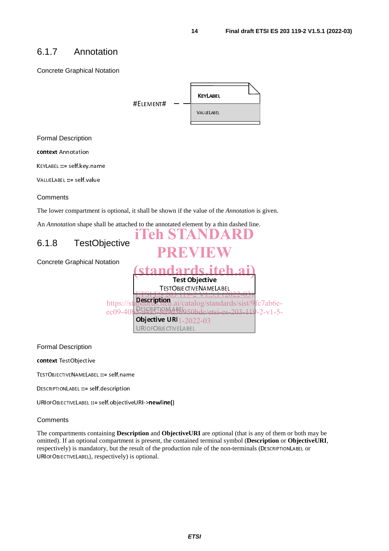## 6.1.7 Annotation

Concrete Graphical Notation <u>KEYLABEL I</u> **#EIFMENT#** VALUELABEL VALUE ADEL Formal Description context Annotation KEYLABEL ::= self.key.name VALUELABEL ::= self.value **Comments** The lower compartment is optional, it shall be shown if the value of the *Annotation* is given. An *Annotation* shape shall be attached to the annotated element by a thin dashed line. **iTeh STANDARD** 6.1.8 TestObjective **PREVIEW** Concrete Graphical Notation **(standards.iteh.ai) Test Objective**<br>TESTOBJE CTIVE NAME LABEL <u>ETSI ES 203 119-2 V1.5.1 (2022-03)</u> <u>S 203 119-2 V1.5.1 (2</u>) https://standards.iteh.ai/catalog/standards/sist/9fc7ab6emdards.iteh ec09-40b3-a4a5-8d9d36950bdc/etsi-es-203-119-2-v1-5-3-2420-8090509 1-2022-03URIOFOBJECTIVE LABEL <u>URIOFOBJECTIVE</u> Formal Description context TestObjective TESTOBJECTIVENAMELABEL ::= self.name

DESCRIPTIONLABEL ::= self.description

URIOFOBJECTIVELABEL ::= self.objectiveURI->newline()

#### **Comments**

The compartments containing **Description** and **ObjectiveURI** are optional (that is any of them or both may be omitted). If an optional compartment is present, the contained terminal symbol (**Description** or **ObjectiveURI**, respectively) is mandatory, but the result of the production rule of the non-terminals (DESCRIPTIONLABEL or URIOFOBJECTIVELABEL), respectively) is optional.